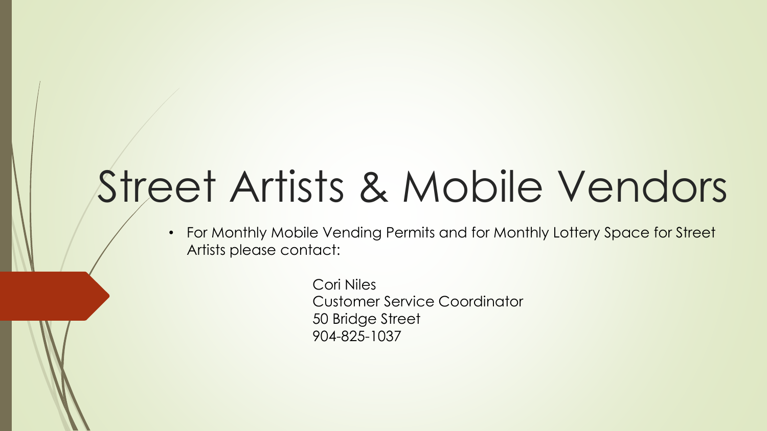## Street Artists & Mobile Vendors

• For Monthly Mobile Vending Permits and for Monthly Lottery Space for Street Artists please contact:

> Cori Niles Customer Service Coordinator 50 Bridge Street 904-825-1037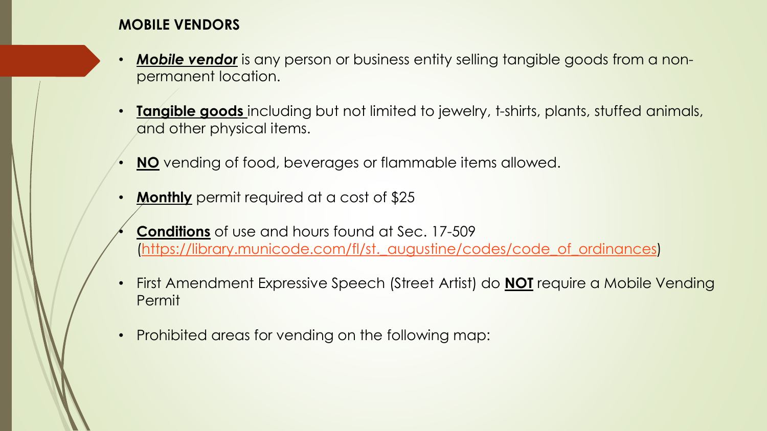## **MOBILE VENDORS**

- *Mobile vendor* is any person or business entity selling tangible goods from a nonpermanent location.
- **Tangible goods** including but not limited to jewelry, t-shirts, plants, stuffed animals, and other physical items.
- **NO** vending of food, beverages or flammable items allowed.
- **Monthly** permit required at a cost of \$25
- **Conditions** of use and hours found at Sec. 17-509 [\(https://library.municode.com/fl/st.\\_augustine/codes/code\\_of\\_ordinances\)](https://library.municode.com/fl/st._augustine/codes/code_of_ordinances)
- First Amendment Expressive Speech (Street Artist) do **NOT** require a Mobile Vending Permit
- Prohibited areas for vending on the following map: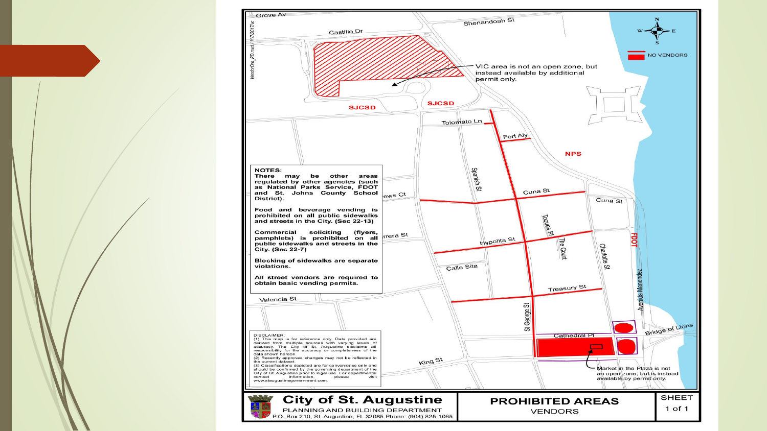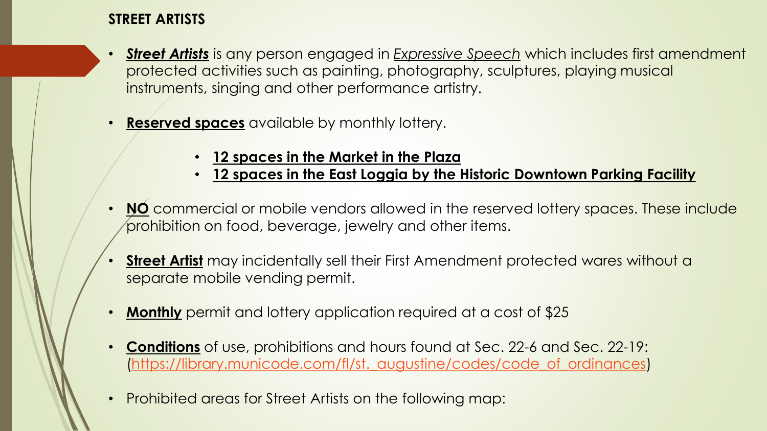## **STREET ARTISTS**

- *Street Artists* is any person engaged in *Expressive Speech* which includes first amendment protected activities such as painting, photography, sculptures, playing musical instruments, singing and other performance artistry.
- **Reserved spaces** available by monthly lottery.
	- **12 spaces in the Market in the Plaza**
	- **12 spaces in the East Loggia by the Historic Downtown Parking Facility**
- **NO** commercial or mobile vendors allowed in the reserved lottery spaces. These include prohibition on food, beverage, jewelry and other items.
- **Street Artist** may incidentally sell their First Amendment protected wares without a separate mobile vending permit.
- **Monthly** permit and lottery application required at a cost of \$25
- **Conditions** of use, prohibitions and hours found at Sec. 22-6 and Sec. 22-19: [\(https://library.municode.com/fl/st.\\_augustine/codes/code\\_of\\_ordinances\)](https://library.municode.com/fl/st._augustine/codes/code_of_ordinances)
- Prohibited areas for Street Artists on the following map: